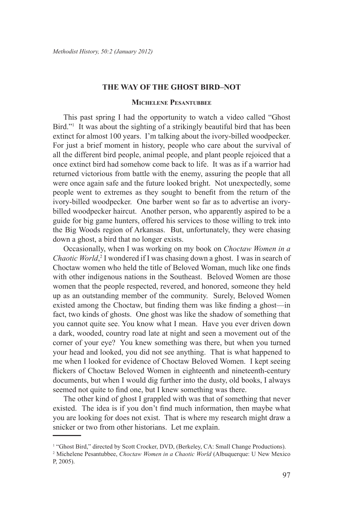## **THE WAY OF THE GHOST BIRD–NOT**

## **Michelene Pesantubbee**

This past spring I had the opportunity to watch a video called "Ghost Bird."<sup>1</sup> It was about the sighting of a strikingly beautiful bird that has been extinct for almost 100 years. I'm talking about the ivory-billed woodpecker. For just a brief moment in history, people who care about the survival of all the different bird people, animal people, and plant people rejoiced that a once extinct bird had somehow come back to life. It was as if a warrior had returned victorious from battle with the enemy, assuring the people that all were once again safe and the future looked bright. Not unexpectedly, some people went to extremes as they sought to benefit from the return of the ivory-billed woodpecker. One barber went so far as to advertise an ivorybilled woodpecker haircut. Another person, who apparently aspired to be a guide for big game hunters, offered his services to those willing to trek into the Big Woods region of Arkansas. But, unfortunately, they were chasing down a ghost, a bird that no longer exists.

Occasionally, when I was working on my book on *Choctaw Women in a Chaotic World*,<sup>2</sup> I wondered if I was chasing down a ghost. I was in search of Choctaw women who held the title of Beloved Woman, much like one finds with other indigenous nations in the Southeast. Beloved Women are those women that the people respected, revered, and honored, someone they held up as an outstanding member of the community. Surely, Beloved Women existed among the Choctaw, but finding them was like finding a ghost—in fact, two kinds of ghosts. One ghost was like the shadow of something that you cannot quite see. You know what I mean. Have you ever driven down a dark, wooded, country road late at night and seen a movement out of the corner of your eye? You knew something was there, but when you turned your head and looked, you did not see anything. That is what happened to me when I looked for evidence of Choctaw Beloved Women. I kept seeing flickers of Choctaw Beloved Women in eighteenth and nineteenth-century documents, but when I would dig further into the dusty, old books, I always seemed not quite to find one, but I knew something was there.

The other kind of ghost I grappled with was that of something that never existed. The idea is if you don't find much information, then maybe what you are looking for does not exist. That is where my research might draw a snicker or two from other historians. Let me explain.

<sup>&</sup>lt;sup>1</sup> "Ghost Bird," directed by Scott Crocker, DVD, (Berkeley, CA: Small Change Productions).

<sup>2</sup> Michelene Pesantubbee, *Choctaw Women in a Chaotic World* (Albuquerque: U New Mexico P, 2005).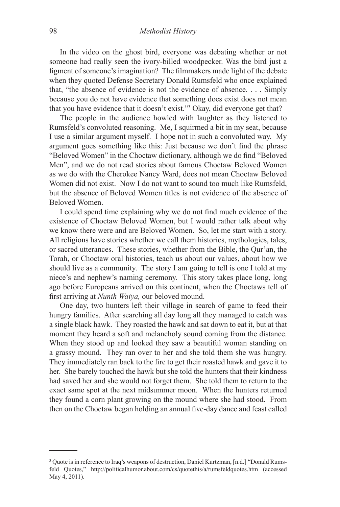In the video on the ghost bird, everyone was debating whether or not someone had really seen the ivory-billed woodpecker. Was the bird just a figment of someone's imagination? The filmmakers made light of the debate when they quoted Defense Secretary Donald Rumsfeld who once explained that, "the absence of evidence is not the evidence of absence. . . . Simply because you do not have evidence that something does exist does not mean that you have evidence that it doesn't exist."3 Okay, did everyone get that?

The people in the audience howled with laughter as they listened to Rumsfeld's convoluted reasoning. Me, I squirmed a bit in my seat, because I use a similar argument myself. I hope not in such a convoluted way. My argument goes something like this: Just because we don't find the phrase "Beloved Women" in the Choctaw dictionary, although we do find "Beloved Men", and we do not read stories about famous Choctaw Beloved Women as we do with the Cherokee Nancy Ward, does not mean Choctaw Beloved Women did not exist. Now I do not want to sound too much like Rumsfeld, but the absence of Beloved Women titles is not evidence of the absence of Beloved Women.

I could spend time explaining why we do not find much evidence of the existence of Choctaw Beloved Women, but I would rather talk about why we know there were and are Beloved Women. So, let me start with a story. All religions have stories whether we call them histories, mythologies, tales, or sacred utterances. These stories, whether from the Bible, the Qur'an, the Torah, or Choctaw oral histories, teach us about our values, about how we should live as a community. The story I am going to tell is one I told at my niece's and nephew's naming ceremony. This story takes place long, long ago before Europeans arrived on this continent, when the Choctaws tell of first arriving at *Nunih Waiya,* our beloved mound.

One day, two hunters left their village in search of game to feed their hungry families. After searching all day long all they managed to catch was a single black hawk. They roasted the hawk and sat down to eat it, but at that moment they heard a soft and melancholy sound coming from the distance. When they stood up and looked they saw a beautiful woman standing on a grassy mound. They ran over to her and she told them she was hungry. They immediately ran back to the fire to get their roasted hawk and gave it to her. She barely touched the hawk but she told the hunters that their kindness had saved her and she would not forget them. She told them to return to the exact same spot at the next midsummer moon. When the hunters returned they found a corn plant growing on the mound where she had stood. From then on the Choctaw began holding an annual five-day dance and feast called

<sup>&</sup>lt;sup>3</sup> Quote is in reference to Iraq's weapons of destruction, Daniel Kurtzman, [n.d.] "Donald Rumsfeld Quotes," http://politicalhumor.about.com/cs/quotethis/a/rumsfeldquotes.htm (accessed May 4, 2011).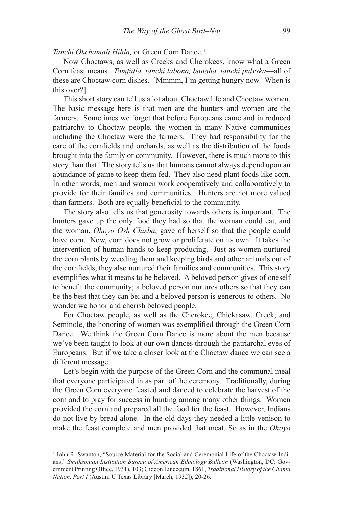## *Tanchi Okchamali Hihla,* or Green Corn Dance.4

Now Choctaws, as well as Creeks and Cherokees, know what a Green Corn feast means. *Tomfulla, tanchi labona, banaha, tanchi pulvska*—all of these are Choctaw corn dishes. [Mmmm, I'm getting hungry now. When is this over?]

This short story can tell us a lot about Choctaw life and Choctaw women. The basic message here is that men are the hunters and women are the farmers. Sometimes we forget that before Europeans came and introduced patriarchy to Choctaw people, the women in many Native communities including the Choctaw were the farmers. They had responsibility for the care of the cornfields and orchards, as well as the distribution of the foods brought into the family or community. However, there is much more to this story than that. The story tells us that humans cannot always depend upon an abundance of game to keep them fed. They also need plant foods like corn. In other words, men and women work cooperatively and collaboratively to provide for their families and communities. Hunters are not more valued than farmers. Both are equally beneficial to the community.

The story also tells us that generosity towards others is important. The hunters gave up the only food they had so that the woman could eat, and the woman, *Ohoyo Osh Chisba*, gave of herself so that the people could have corn. Now, corn does not grow or proliferate on its own. It takes the intervention of human hands to keep producing. Just as women nurtured the corn plants by weeding them and keeping birds and other animals out of the cornfields, they also nurtured their families and communities. This story exemplifies what it means to be beloved. A beloved person gives of oneself to benefit the community; a beloved person nurtures others so that they can be the best that they can be; and a beloved person is generous to others. No wonder we honor and cherish beloved people.

For Choctaw people, as well as the Cherokee, Chickasaw, Creek, and Seminole, the honoring of women was exemplified through the Green Corn Dance. We think the Green Corn Dance is more about the men because we've been taught to look at our own dances through the patriarchal eyes of Europeans. But if we take a closer look at the Choctaw dance we can see a different message.

Let's begin with the purpose of the Green Corn and the communal meal that everyone participated in as part of the ceremony. Traditionally, during the Green Corn everyone feasted and danced to celebrate the harvest of the corn and to pray for success in hunting among many other things. Women provided the corn and prepared all the food for the feast. However, Indians do not live by bread alone. In the old days they needed a little venison to make the feast complete and men provided that meat. So as in the *Ohoyo* 

<sup>4</sup> John R. Swanton, "Source Material for the Social and Ceremonial Life of the Choctaw Indians," *Smithsonian Institution Bureau of American Ethnology Bulletin* (Washington, DC: Government Printing Office, 1931), 103; Gideon Lincecum, 1861, *Traditional History of the Chahta Nation, Part I* (Austin: U Texas Library [March, 1932]), 20-26.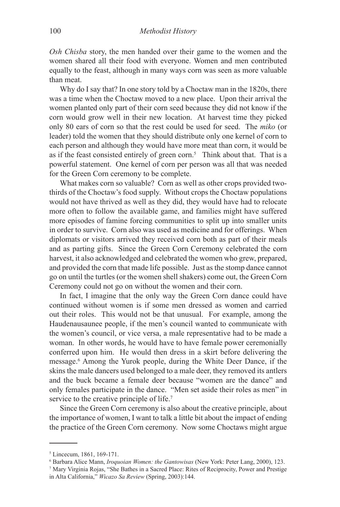*Osh Chisba* story, the men handed over their game to the women and the women shared all their food with everyone. Women and men contributed equally to the feast, although in many ways corn was seen as more valuable than meat.

Why do I say that? In one story told by a Choctaw man in the 1820s, there was a time when the Choctaw moved to a new place. Upon their arrival the women planted only part of their corn seed because they did not know if the corn would grow well in their new location. At harvest time they picked only 80 ears of corn so that the rest could be used for seed. The *miko* (or leader) told the women that they should distribute only one kernel of corn to each person and although they would have more meat than corn, it would be as if the feast consisted entirely of green corn.<sup>5</sup> Think about that. That is a powerful statement. One kernel of corn per person was all that was needed for the Green Corn ceremony to be complete.

What makes corn so valuable? Corn as well as other crops provided twothirds of the Choctaw's food supply. Without crops the Choctaw populations would not have thrived as well as they did, they would have had to relocate more often to follow the available game, and families might have suffered more episodes of famine forcing communities to split up into smaller units in order to survive. Corn also was used as medicine and for offerings. When diplomats or visitors arrived they received corn both as part of their meals and as parting gifts. Since the Green Corn Ceremony celebrated the corn harvest, it also acknowledged and celebrated the women who grew, prepared, and provided the corn that made life possible. Just as the stomp dance cannot go on until the turtles (or the women shell shakers) come out, the Green Corn Ceremony could not go on without the women and their corn.

In fact, I imagine that the only way the Green Corn dance could have continued without women is if some men dressed as women and carried out their roles. This would not be that unusual. For example, among the Haudenausaunee people, if the men's council wanted to communicate with the women's council, or vice versa, a male representative had to be made a woman. In other words, he would have to have female power ceremonially conferred upon him. He would then dress in a skirt before delivering the message.<sup>6</sup> Among the Yurok people, during the White Deer Dance, if the skins the male dancers used belonged to a male deer, they removed its antlers and the buck became a female deer because "women are the dance" and only females participate in the dance. "Men set aside their roles as men" in service to the creative principle of life.<sup>7</sup>

Since the Green Corn ceremony is also about the creative principle, about the importance of women, I want to talk a little bit about the impact of ending the practice of the Green Corn ceremony. Now some Choctaws might argue

<sup>5</sup> Lincecum, 1861, 169-171.

<sup>6</sup> Barbara Alice Mann, *Iroquoian Women: the Gantowisas* (New York: Peter Lang, 2000), 123.

<sup>7</sup> Mary Virginia Rojas, "She Bathes in a Sacred Place: Rites of Reciprocity, Power and Prestige in Alta California," *Wicazo Sa Review* (Spring, 2003):144.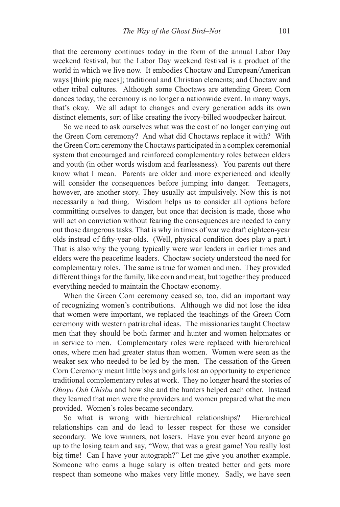that the ceremony continues today in the form of the annual Labor Day weekend festival, but the Labor Day weekend festival is a product of the world in which we live now. It embodies Choctaw and European/American ways [think pig races]; traditional and Christian elements; and Choctaw and other tribal cultures. Although some Choctaws are attending Green Corn dances today, the ceremony is no longer a nationwide event. In many ways, that's okay. We all adapt to changes and every generation adds its own distinct elements, sort of like creating the ivory-billed woodpecker haircut.

So we need to ask ourselves what was the cost of no longer carrying out the Green Corn ceremony? And what did Choctaws replace it with? With the Green Corn ceremony the Choctaws participated in a complex ceremonial system that encouraged and reinforced complementary roles between elders and youth (in other words wisdom and fearlessness). You parents out there know what I mean. Parents are older and more experienced and ideally will consider the consequences before jumping into danger. Teenagers, however, are another story. They usually act impulsively. Now this is not necessarily a bad thing. Wisdom helps us to consider all options before committing ourselves to danger, but once that decision is made, those who will act on conviction without fearing the consequences are needed to carry out those dangerous tasks. That is why in times of war we draft eighteen-year olds instead of fifty-year-olds. (Well, physical condition does play a part.) That is also why the young typically were war leaders in earlier times and elders were the peacetime leaders. Choctaw society understood the need for complementary roles. The same is true for women and men. They provided different things for the family, like corn and meat, but together they produced everything needed to maintain the Choctaw economy.

When the Green Corn ceremony ceased so, too, did an important way of recognizing women's contributions. Although we did not lose the idea that women were important, we replaced the teachings of the Green Corn ceremony with western patriarchal ideas. The missionaries taught Choctaw men that they should be both farmer and hunter and women helpmates or in service to men. Complementary roles were replaced with hierarchical ones, where men had greater status than women. Women were seen as the weaker sex who needed to be led by the men. The cessation of the Green Corn Ceremony meant little boys and girls lost an opportunity to experience traditional complementary roles at work. They no longer heard the stories of *Ohoyo Osh Chisba* and how she and the hunters helped each other. Instead they learned that men were the providers and women prepared what the men provided. Women's roles became secondary.

So what is wrong with hierarchical relationships? Hierarchical relationships can and do lead to lesser respect for those we consider secondary. We love winners, not losers. Have you ever heard anyone go up to the losing team and say, "Wow, that was a great game! You really lost big time! Can I have your autograph?" Let me give you another example. Someone who earns a huge salary is often treated better and gets more respect than someone who makes very little money. Sadly, we have seen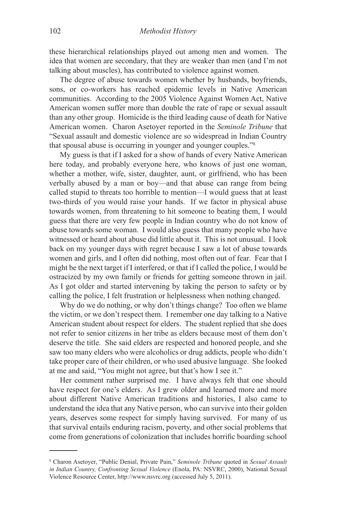these hierarchical relationships played out among men and women. The idea that women are secondary, that they are weaker than men (and I'm not talking about muscles), has contributed to violence against women.

The degree of abuse towards women whether by husbands, boyfriends, sons, or co-workers has reached epidemic levels in Native American communities. According to the 2005 Violence Against Women Act, Native American women suffer more than double the rate of rape or sexual assault than any other group. Homicide is the third leading cause of death for Native American women. Charon Asetoyer reported in the *Seminole Tribune* that "Sexual assault and domestic violence are so widespread in Indian Country that spousal abuse is occurring in younger and younger couples."8

My guess is that if I asked for a show of hands of every Native American here today, and probably everyone here, who knows of just one woman, whether a mother, wife, sister, daughter, aunt, or girlfriend, who has been verbally abused by a man or boy—and that abuse can range from being called stupid to threats too horrible to mention—I would guess that at least two-thirds of you would raise your hands. If we factor in physical abuse towards women, from threatening to hit someone to beating them, I would guess that there are very few people in Indian country who do not know of abuse towards some woman. I would also guess that many people who have witnessed or heard about abuse did little about it. This is not unusual. I look back on my younger days with regret because I saw a lot of abuse towards women and girls, and I often did nothing, most often out of fear. Fear that I might be the next target if I interfered, or that if I called the police, I would be ostracized by my own family or friends for getting someone thrown in jail. As I got older and started intervening by taking the person to safety or by calling the police, I felt frustration or helplessness when nothing changed.

Why do we do nothing, or why don't things change? Too often we blame the victim, or we don't respect them. I remember one day talking to a Native American student about respect for elders. The student replied that she does not refer to senior citizens in her tribe as elders because most of them don't deserve the title. She said elders are respected and honored people, and she saw too many elders who were alcoholics or drug addicts, people who didn't take proper care of their children, or who used abusive language. She looked at me and said, "You might not agree, but that's how I see it."

Her comment rather surprised me. I have always felt that one should have respect for one's elders. As I grew older and learned more and more about different Native American traditions and histories, I also came to understand the idea that any Native person, who can survive into their golden years, deserves some respect for simply having survived. For many of us that survival entails enduring racism, poverty, and other social problems that come from generations of colonization that includes horrific boarding school

<sup>8</sup> Charon Asetoyer, "Public Denial, Private Pain," *Seminole Tribune* quoted in *Sexual Assault in Indian Country, Confronting Sexual Violence* (Enola, PA: NSVRC, 2000), National Sexual Violence Resource Center, http://www.nsvrc.org (accessed July 5, 2011).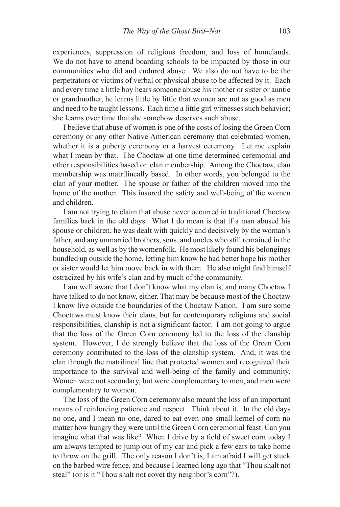experiences, suppression of religious freedom, and loss of homelands. We do not have to attend boarding schools to be impacted by those in our communities who did and endured abuse. We also do not have to be the perpetrators or victims of verbal or physical abuse to be affected by it. Each and every time a little boy hears someone abuse his mother or sister or auntie or grandmother, he learns little by little that women are not as good as men and need to be taught lessons. Each time a little girl witnesses such behavior; she learns over time that she somehow deserves such abuse.

I believe that abuse of women is one of the costs of losing the Green Corn ceremony or any other Native American ceremony that celebrated women, whether it is a puberty ceremony or a harvest ceremony. Let me explain what I mean by that. The Choctaw at one time determined ceremonial and other responsibilities based on clan membership. Among the Choctaw, clan membership was matrilineally based. In other words, you belonged to the clan of your mother. The spouse or father of the children moved into the home of the mother. This insured the safety and well-being of the women and children.

I am not trying to claim that abuse never occurred in traditional Choctaw families back in the old days. What I do mean is that if a man abused his spouse or children, he was dealt with quickly and decisively by the woman's father, and any unmarried brothers, sons, and uncles who still remained in the household, as well as by the womenfolk. He most likely found his belongings bundled up outside the home, letting him know he had better hope his mother or sister would let him move back in with them. He also might find himself ostracized by his wife's clan and by much of the community.

I am well aware that I don't know what my clan is, and many Choctaw I have talked to do not know, either. That may be because most of the Choctaw I know live outside the boundaries of the Choctaw Nation. I am sure some Choctaws must know their clans, but for contemporary religious and social responsibilities, clanship is not a significant factor. I am not going to argue that the loss of the Green Corn ceremony led to the loss of the clanship system. However, I do strongly believe that the loss of the Green Corn ceremony contributed to the loss of the clanship system. And, it was the clan through the matrilineal line that protected women and recognized their importance to the survival and well-being of the family and community. Women were not secondary, but were complementary to men, and men were complementary to women.

The loss of the Green Corn ceremony also meant the loss of an important means of reinforcing patience and respect. Think about it. In the old days no one, and I mean no one, dared to eat even one small kernel of corn no matter how hungry they were until the Green Corn ceremonial feast. Can you imagine what that was like? When I drive by a field of sweet corn today I am always tempted to jump out of my car and pick a few ears to take home to throw on the grill. The only reason I don't is, I am afraid I will get stuck on the barbed wire fence, and because I learned long ago that "Thou shalt not steal" (or is it "Thou shalt not covet thy neighbor's corn"?).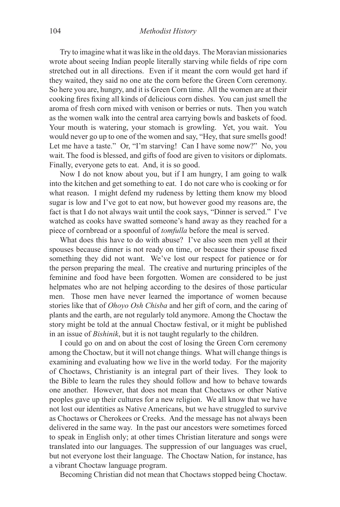Try to imagine what it was like in the old days. The Moravian missionaries wrote about seeing Indian people literally starving while fields of ripe corn stretched out in all directions. Even if it meant the corn would get hard if they waited, they said no one ate the corn before the Green Corn ceremony. So here you are, hungry, and it is Green Corn time. All the women are at their cooking fires fixing all kinds of delicious corn dishes. You can just smell the aroma of fresh corn mixed with venison or berries or nuts. Then you watch as the women walk into the central area carrying bowls and baskets of food. Your mouth is watering, your stomach is growling. Yet, you wait. You would never go up to one of the women and say, "Hey, that sure smells good! Let me have a taste." Or, "I'm starving! Can I have some now?" No, you wait. The food is blessed, and gifts of food are given to visitors or diplomats. Finally, everyone gets to eat. And, it is so good.

Now I do not know about you, but if I am hungry, I am going to walk into the kitchen and get something to eat. I do not care who is cooking or for what reason. I might defend my rudeness by letting them know my blood sugar is low and I've got to eat now, but however good my reasons are, the fact is that I do not always wait until the cook says, "Dinner is served." I've watched as cooks have swatted someone's hand away as they reached for a piece of cornbread or a spoonful of *tomfulla* before the meal is served.

What does this have to do with abuse? I've also seen men yell at their spouses because dinner is not ready on time, or because their spouse fixed something they did not want. We've lost our respect for patience or for the person preparing the meal. The creative and nurturing principles of the feminine and food have been forgotten. Women are considered to be just helpmates who are not helping according to the desires of those particular men. Those men have never learned the importance of women because stories like that of *Ohoyo Osh Chisba* and her gift of corn, and the caring of plants and the earth, are not regularly told anymore. Among the Choctaw the story might be told at the annual Choctaw festival, or it might be published in an issue of *Bishinik*, but it is not taught regularly to the children.

I could go on and on about the cost of losing the Green Corn ceremony among the Choctaw, but it will not change things. What will change things is examining and evaluating how we live in the world today. For the majority of Choctaws, Christianity is an integral part of their lives. They look to the Bible to learn the rules they should follow and how to behave towards one another. However, that does not mean that Choctaws or other Native peoples gave up their cultures for a new religion. We all know that we have not lost our identities as Native Americans, but we have struggled to survive as Choctaws or Cherokees or Creeks. And the message has not always been delivered in the same way. In the past our ancestors were sometimes forced to speak in English only; at other times Christian literature and songs were translated into our languages. The suppression of our languages was cruel, but not everyone lost their language. The Choctaw Nation, for instance, has a vibrant Choctaw language program.

Becoming Christian did not mean that Choctaws stopped being Choctaw.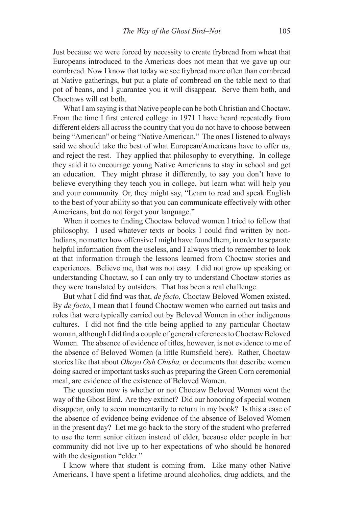Just because we were forced by necessity to create frybread from wheat that Europeans introduced to the Americas does not mean that we gave up our cornbread. Now I know that today we see frybread more often than cornbread at Native gatherings, but put a plate of cornbread on the table next to that pot of beans, and I guarantee you it will disappear. Serve them both, and Choctaws will eat both.

What I am saying is that Native people can be both Christian and Choctaw. From the time I first entered college in 1971 I have heard repeatedly from different elders all across the country that you do not have to choose between being "American" or being "Native American." The ones I listened to always said we should take the best of what European/Americans have to offer us, and reject the rest. They applied that philosophy to everything. In college they said it to encourage young Native Americans to stay in school and get an education. They might phrase it differently, to say you don't have to believe everything they teach you in college, but learn what will help you and your community. Or, they might say, "Learn to read and speak English to the best of your ability so that you can communicate effectively with other Americans, but do not forget your language."

When it comes to finding Choctaw beloved women I tried to follow that philosophy. I used whatever texts or books I could find written by non-Indians, no matter how offensive I might have found them, in order to separate helpful information from the useless, and I always tried to remember to look at that information through the lessons learned from Choctaw stories and experiences. Believe me, that was not easy. I did not grow up speaking or understanding Choctaw, so I can only try to understand Choctaw stories as they were translated by outsiders. That has been a real challenge.

But what I did find was that, *de facto,* Choctaw Beloved Women existed. By *de facto*, I mean that I found Choctaw women who carried out tasks and roles that were typically carried out by Beloved Women in other indigenous cultures. I did not find the title being applied to any particular Choctaw woman, although I did find a couple of general references to Choctaw Beloved Women. The absence of evidence of titles, however, is not evidence to me of the absence of Beloved Women (a little Rumsfield here). Rather, Choctaw stories like that about *Ohoyo Osh Chisba,* or documents that describe women doing sacred or important tasks such as preparing the Green Corn ceremonial meal, are evidence of the existence of Beloved Women.

The question now is whether or not Choctaw Beloved Women went the way of the Ghost Bird. Are they extinct? Did our honoring of special women disappear, only to seem momentarily to return in my book? Is this a case of the absence of evidence being evidence of the absence of Beloved Women in the present day? Let me go back to the story of the student who preferred to use the term senior citizen instead of elder, because older people in her community did not live up to her expectations of who should be honored with the designation "elder."

I know where that student is coming from. Like many other Native Americans, I have spent a lifetime around alcoholics, drug addicts, and the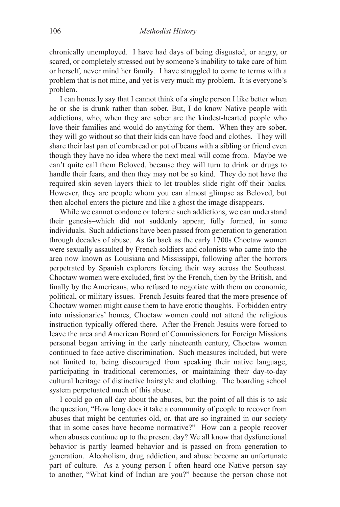chronically unemployed. I have had days of being disgusted, or angry, or scared, or completely stressed out by someone's inability to take care of him or herself, never mind her family. I have struggled to come to terms with a problem that is not mine, and yet is very much my problem. It is everyone's problem.

I can honestly say that I cannot think of a single person I like better when he or she is drunk rather than sober. But, I do know Native people with addictions, who, when they are sober are the kindest-hearted people who love their families and would do anything for them. When they are sober, they will go without so that their kids can have food and clothes. They will share their last pan of cornbread or pot of beans with a sibling or friend even though they have no idea where the next meal will come from. Maybe we can't quite call them Beloved, because they will turn to drink or drugs to handle their fears, and then they may not be so kind. They do not have the required skin seven layers thick to let troubles slide right off their backs. However, they are people whom you can almost glimpse as Beloved, but then alcohol enters the picture and like a ghost the image disappears.

While we cannot condone or tolerate such addictions, we can understand their genesis–which did not suddenly appear, fully formed, in some individuals. Such addictions have been passed from generation to generation through decades of abuse. As far back as the early 1700s Choctaw women were sexually assaulted by French soldiers and colonists who came into the area now known as Louisiana and Mississippi, following after the horrors perpetrated by Spanish explorers forcing their way across the Southeast. Choctaw women were excluded, first by the French, then by the British, and finally by the Americans, who refused to negotiate with them on economic, political, or military issues. French Jesuits feared that the mere presence of Choctaw women might cause them to have erotic thoughts. Forbidden entry into missionaries' homes, Choctaw women could not attend the religious instruction typically offered there. After the French Jesuits were forced to leave the area and American Board of Commissioners for Foreign Missions personal began arriving in the early nineteenth century, Choctaw women continued to face active discrimination. Such measures included, but were not limited to, being discouraged from speaking their native language, participating in traditional ceremonies, or maintaining their day-to-day cultural heritage of distinctive hairstyle and clothing. The boarding school system perpetuated much of this abuse.

I could go on all day about the abuses, but the point of all this is to ask the question, "How long does it take a community of people to recover from abuses that might be centuries old, or, that are so ingrained in our society that in some cases have become normative?" How can a people recover when abuses continue up to the present day? We all know that dysfunctional behavior is partly learned behavior and is passed on from generation to generation. Alcoholism, drug addiction, and abuse become an unfortunate part of culture. As a young person I often heard one Native person say to another, "What kind of Indian are you?" because the person chose not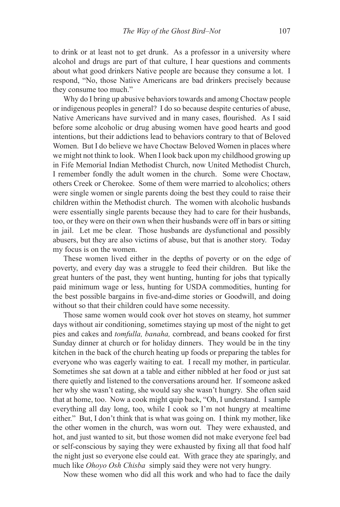to drink or at least not to get drunk. As a professor in a university where alcohol and drugs are part of that culture, I hear questions and comments about what good drinkers Native people are because they consume a lot. I respond, "No, those Native Americans are bad drinkers precisely because they consume too much."

Why do I bring up abusive behaviors towards and among Choctaw people or indigenous peoples in general? I do so because despite centuries of abuse, Native Americans have survived and in many cases, flourished. As I said before some alcoholic or drug abusing women have good hearts and good intentions, but their addictions lead to behaviors contrary to that of Beloved Women. But I do believe we have Choctaw Beloved Women in places where we might not think to look. When I look back upon my childhood growing up in Fife Memorial Indian Methodist Church, now United Methodist Church, I remember fondly the adult women in the church. Some were Choctaw, others Creek or Cherokee. Some of them were married to alcoholics; others were single women or single parents doing the best they could to raise their children within the Methodist church. The women with alcoholic husbands were essentially single parents because they had to care for their husbands, too, or they were on their own when their husbands were off in bars or sitting in jail. Let me be clear. Those husbands are dysfunctional and possibly abusers, but they are also victims of abuse, but that is another story. Today my focus is on the women.

These women lived either in the depths of poverty or on the edge of poverty, and every day was a struggle to feed their children. But like the great hunters of the past, they went hunting, hunting for jobs that typically paid minimum wage or less, hunting for USDA commodities, hunting for the best possible bargains in five-and-dime stories or Goodwill, and doing without so that their children could have some necessity.

Those same women would cook over hot stoves on steamy, hot summer days without air conditioning, sometimes staying up most of the night to get pies and cakes and *tomfulla, banaha,* cornbread, and beans cooked for first Sunday dinner at church or for holiday dinners. They would be in the tiny kitchen in the back of the church heating up foods or preparing the tables for everyone who was eagerly waiting to eat. I recall my mother, in particular. Sometimes she sat down at a table and either nibbled at her food or just sat there quietly and listened to the conversations around her. If someone asked her why she wasn't eating, she would say she wasn't hungry. She often said that at home, too. Now a cook might quip back, "Oh, I understand. I sample everything all day long, too, while I cook so I'm not hungry at mealtime either." But, I don't think that is what was going on. I think my mother, like the other women in the church, was worn out. They were exhausted, and hot, and just wanted to sit, but those women did not make everyone feel bad or self-conscious by saying they were exhausted by fixing all that food half the night just so everyone else could eat. With grace they ate sparingly, and much like *Ohoyo Osh Chisba* simply said they were not very hungry.

Now these women who did all this work and who had to face the daily